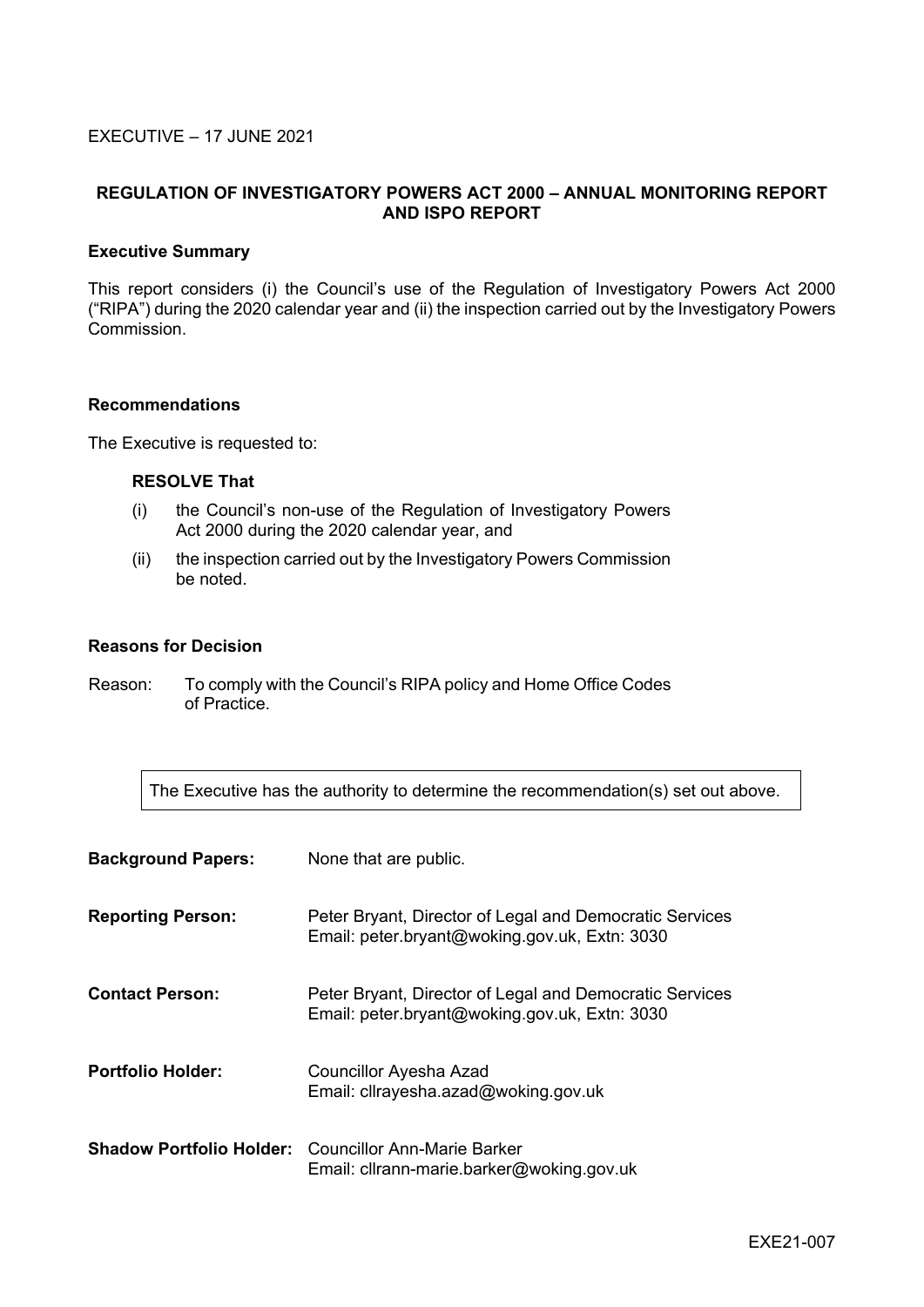## EXECUTIVE – 17 JUNE 2021

# **REGULATION OF INVESTIGATORY POWERS ACT 2000 – ANNUAL MONITORING REPORT AND ISPO REPORT**

#### **Executive Summary**

This report considers (i) the Council's use of the Regulation of Investigatory Powers Act 2000 ("RIPA") during the 2020 calendar year and (ii) the inspection carried out by the Investigatory Powers Commission.

#### **Recommendations**

The Executive is requested to:

#### **RESOLVE That**

- (i) the Council's non-use of the Regulation of Investigatory Powers Act 2000 during the 2020 calendar year, and
- (ii) the inspection carried out by the Investigatory Powers Commission be noted.

#### **Reasons for Decision**

Reason: To comply with the Council's RIPA policy and Home Office Codes of Practice.

The Executive has the authority to determine the recommendation(s) set out above.

| <b>Background Papers:</b> | None that are public.                                                                                    |
|---------------------------|----------------------------------------------------------------------------------------------------------|
| <b>Reporting Person:</b>  | Peter Bryant, Director of Legal and Democratic Services<br>Email: peter.bryant@woking.gov.uk, Extn: 3030 |
| <b>Contact Person:</b>    | Peter Bryant, Director of Legal and Democratic Services<br>Email: peter.bryant@woking.gov.uk, Extn: 3030 |
| <b>Portfolio Holder:</b>  | <b>Councillor Ayesha Azad</b><br>Email: cllrayesha.azad@woking.gov.uk                                    |
|                           | <b>Shadow Portfolio Holder:</b> Councillor Ann-Marie Barker<br>Email: cllrann-marie.barker@woking.gov.uk |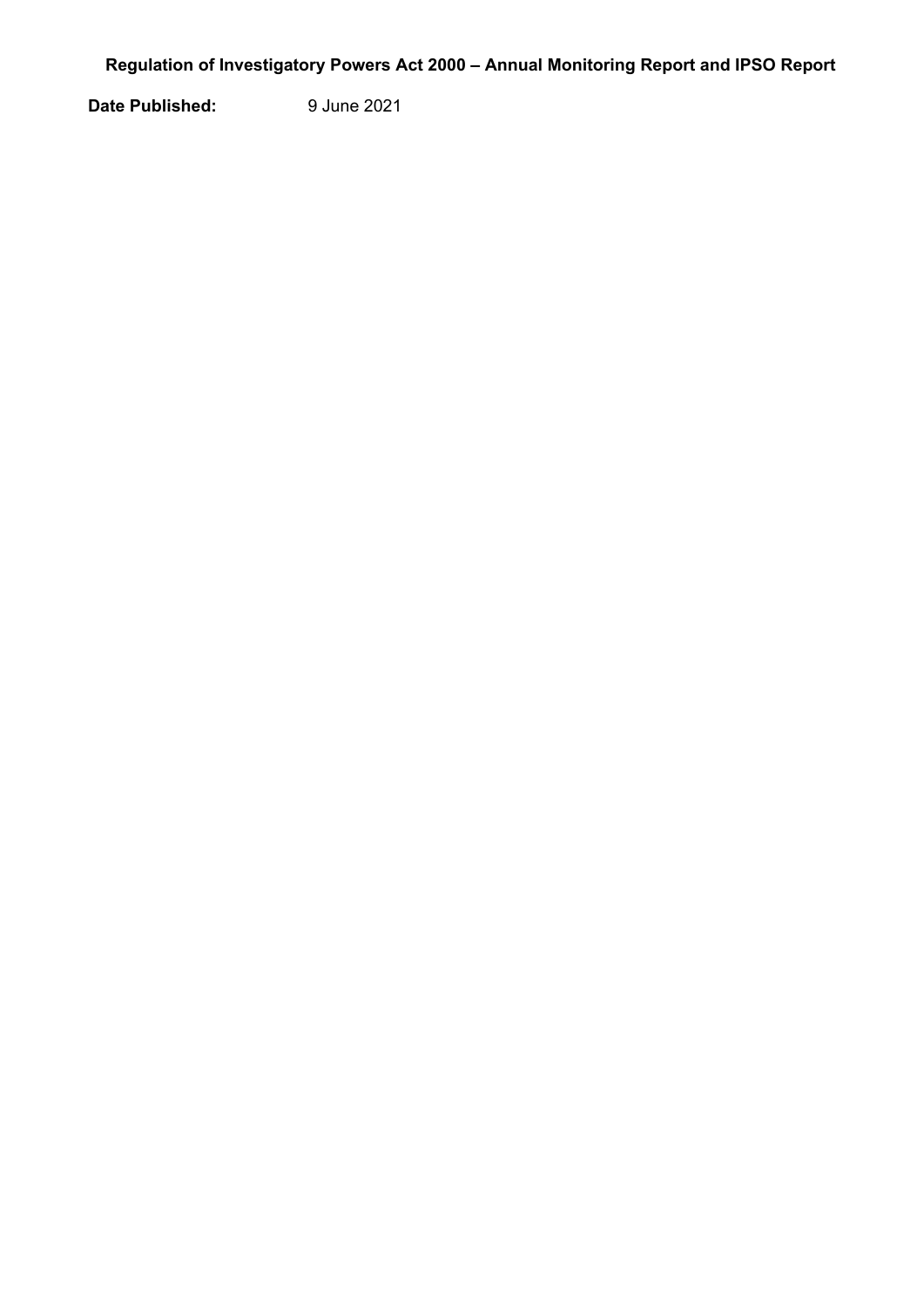**Date Published:** 9 June 2021